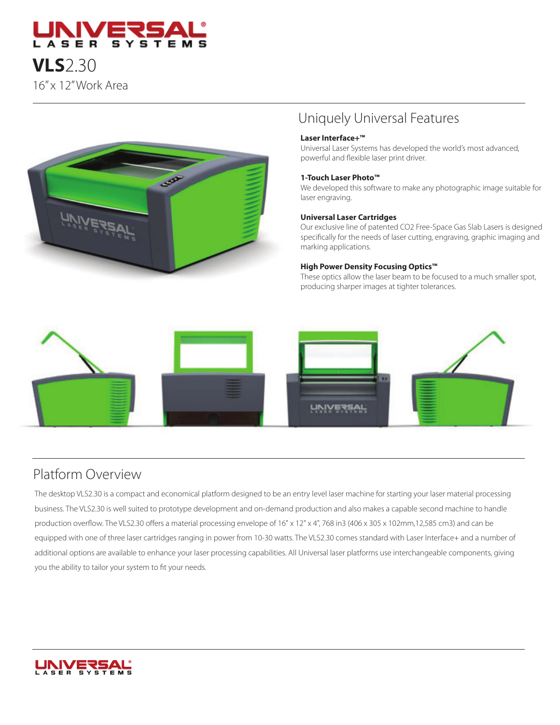



## Uniquely Universal Features

#### **Laser Interface+™**

Universal Laser Systems has developed the world's most advanced, powerful and flexible laser print driver.

#### **1-Touch Laser Photo™**

We developed this software to make any photographic image suitable for laser engraving.

#### **Universal Laser Cartridges**

Our exclusive line of patented CO2 Free-Space Gas Slab Lasers is designed specifically for the needs of laser cutting, engraving, graphic imaging and marking applications.

#### **High Power Density Focusing Optics™**

These optics allow the laser beam to be focused to a much smaller spot, producing sharper images at tighter tolerances.



# Platform Overview

The desktop VLS2.30 is a compact and economical platform designed to be an entry level laser machine for starting your laser material processing business. The VLS2.30 is well suited to prototype development and on-demand production and also makes a capable second machine to handle production overflow. The VLS2.30 offers a material processing envelope of 16" x 12" x 4", 768 in3 (406 x 305 x 102mm,12,585 cm3) and can be equipped with one of three laser cartridges ranging in power from 10-30 watts. The VLS2.30 comes standard with Laser Interface+ and a number of additional options are available to enhance your laser processing capabilities. All Universal laser platforms use interchangeable components, giving you the ability to tailor your system to fit your needs.